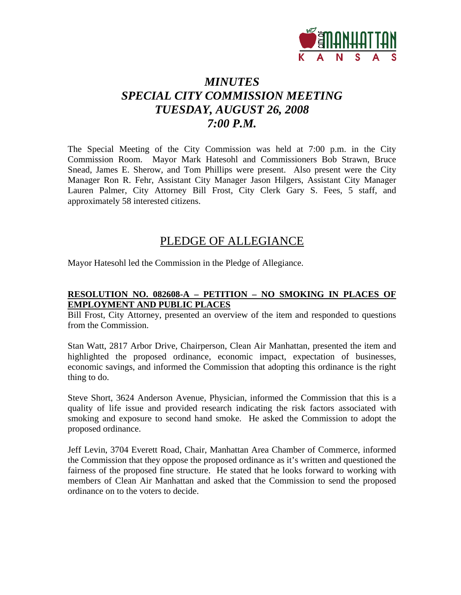

# *MINUTES SPECIAL CITY COMMISSION MEETING TUESDAY, AUGUST 26, 2008 7:00 P.M.*

The Special Meeting of the City Commission was held at 7:00 p.m. in the City Commission Room. Mayor Mark Hatesohl and Commissioners Bob Strawn, Bruce Snead, James E. Sherow, and Tom Phillips were present. Also present were the City Manager Ron R. Fehr, Assistant City Manager Jason Hilgers, Assistant City Manager Lauren Palmer, City Attorney Bill Frost, City Clerk Gary S. Fees, 5 staff, and approximately 58 interested citizens.

## PLEDGE OF ALLEGIANCE

Mayor Hatesohl led the Commission in the Pledge of Allegiance.

#### **RESOLUTION NO. 082608-A – PETITION – NO SMOKING IN PLACES OF EMPLOYMENT AND PUBLIC PLACES**

Bill Frost, City Attorney, presented an overview of the item and responded to questions from the Commission.

Stan Watt, 2817 Arbor Drive, Chairperson, Clean Air Manhattan, presented the item and highlighted the proposed ordinance, economic impact, expectation of businesses, economic savings, and informed the Commission that adopting this ordinance is the right thing to do.

Steve Short, 3624 Anderson Avenue, Physician, informed the Commission that this is a quality of life issue and provided research indicating the risk factors associated with smoking and exposure to second hand smoke. He asked the Commission to adopt the proposed ordinance.

Jeff Levin, 3704 Everett Road, Chair, Manhattan Area Chamber of Commerce, informed the Commission that they oppose the proposed ordinance as it's written and questioned the fairness of the proposed fine structure. He stated that he looks forward to working with members of Clean Air Manhattan and asked that the Commission to send the proposed ordinance on to the voters to decide.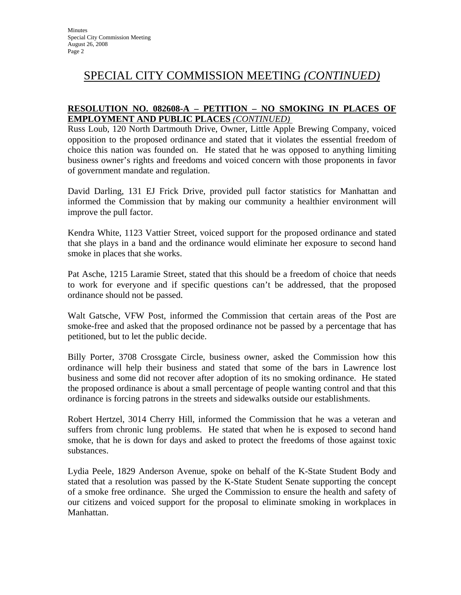#### **RESOLUTION NO. 082608-A – PETITION – NO SMOKING IN PLACES OF EMPLOYMENT AND PUBLIC PLACES** *(CONTINUED)*

Russ Loub, 120 North Dartmouth Drive, Owner, Little Apple Brewing Company, voiced opposition to the proposed ordinance and stated that it violates the essential freedom of choice this nation was founded on. He stated that he was opposed to anything limiting business owner's rights and freedoms and voiced concern with those proponents in favor of government mandate and regulation.

David Darling, 131 EJ Frick Drive, provided pull factor statistics for Manhattan and informed the Commission that by making our community a healthier environment will improve the pull factor.

Kendra White, 1123 Vattier Street, voiced support for the proposed ordinance and stated that she plays in a band and the ordinance would eliminate her exposure to second hand smoke in places that she works.

Pat Asche, 1215 Laramie Street, stated that this should be a freedom of choice that needs to work for everyone and if specific questions can't be addressed, that the proposed ordinance should not be passed.

Walt Gatsche, VFW Post, informed the Commission that certain areas of the Post are smoke-free and asked that the proposed ordinance not be passed by a percentage that has petitioned, but to let the public decide.

Billy Porter, 3708 Crossgate Circle, business owner, asked the Commission how this ordinance will help their business and stated that some of the bars in Lawrence lost business and some did not recover after adoption of its no smoking ordinance. He stated the proposed ordinance is about a small percentage of people wanting control and that this ordinance is forcing patrons in the streets and sidewalks outside our establishments.

Robert Hertzel, 3014 Cherry Hill, informed the Commission that he was a veteran and suffers from chronic lung problems. He stated that when he is exposed to second hand smoke, that he is down for days and asked to protect the freedoms of those against toxic substances.

Lydia Peele, 1829 Anderson Avenue, spoke on behalf of the K-State Student Body and stated that a resolution was passed by the K-State Student Senate supporting the concept of a smoke free ordinance. She urged the Commission to ensure the health and safety of our citizens and voiced support for the proposal to eliminate smoking in workplaces in Manhattan.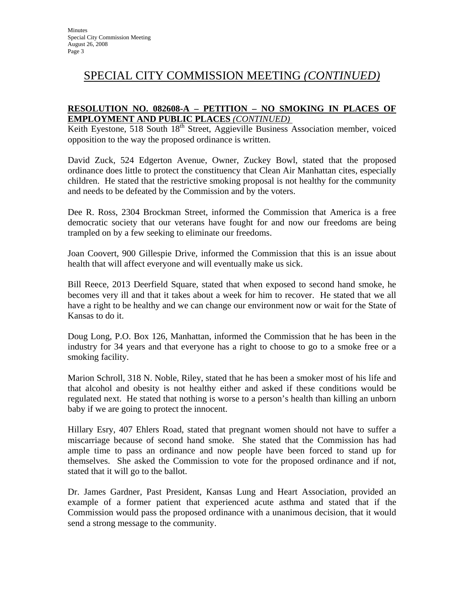### **RESOLUTION NO. 082608-A – PETITION – NO SMOKING IN PLACES OF EMPLOYMENT AND PUBLIC PLACES** *(CONTINUED)*

Keith Eyestone, 518 South 18<sup>th</sup> Street, Aggieville Business Association member, voiced opposition to the way the proposed ordinance is written.

David Zuck, 524 Edgerton Avenue, Owner, Zuckey Bowl, stated that the proposed ordinance does little to protect the constituency that Clean Air Manhattan cites, especially children. He stated that the restrictive smoking proposal is not healthy for the community and needs to be defeated by the Commission and by the voters.

Dee R. Ross, 2304 Brockman Street, informed the Commission that America is a free democratic society that our veterans have fought for and now our freedoms are being trampled on by a few seeking to eliminate our freedoms.

Joan Coovert, 900 Gillespie Drive, informed the Commission that this is an issue about health that will affect everyone and will eventually make us sick.

Bill Reece, 2013 Deerfield Square, stated that when exposed to second hand smoke, he becomes very ill and that it takes about a week for him to recover. He stated that we all have a right to be healthy and we can change our environment now or wait for the State of Kansas to do it.

Doug Long, P.O. Box 126, Manhattan, informed the Commission that he has been in the industry for 34 years and that everyone has a right to choose to go to a smoke free or a smoking facility.

Marion Schroll, 318 N. Noble, Riley, stated that he has been a smoker most of his life and that alcohol and obesity is not healthy either and asked if these conditions would be regulated next. He stated that nothing is worse to a person's health than killing an unborn baby if we are going to protect the innocent.

Hillary Esry, 407 Ehlers Road, stated that pregnant women should not have to suffer a miscarriage because of second hand smoke. She stated that the Commission has had ample time to pass an ordinance and now people have been forced to stand up for themselves. She asked the Commission to vote for the proposed ordinance and if not, stated that it will go to the ballot.

Dr. James Gardner, Past President, Kansas Lung and Heart Association, provided an example of a former patient that experienced acute asthma and stated that if the Commission would pass the proposed ordinance with a unanimous decision, that it would send a strong message to the community.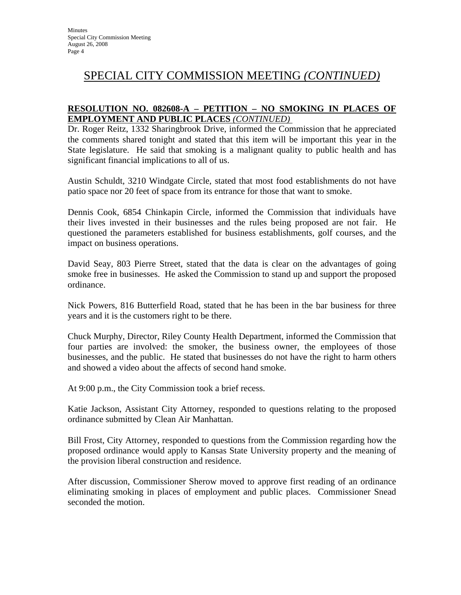### **RESOLUTION NO. 082608-A – PETITION – NO SMOKING IN PLACES OF EMPLOYMENT AND PUBLIC PLACES** *(CONTINUED)*

Dr. Roger Reitz, 1332 Sharingbrook Drive, informed the Commission that he appreciated the comments shared tonight and stated that this item will be important this year in the State legislature. He said that smoking is a malignant quality to public health and has significant financial implications to all of us.

Austin Schuldt, 3210 Windgate Circle, stated that most food establishments do not have patio space nor 20 feet of space from its entrance for those that want to smoke.

Dennis Cook, 6854 Chinkapin Circle, informed the Commission that individuals have their lives invested in their businesses and the rules being proposed are not fair. He questioned the parameters established for business establishments, golf courses, and the impact on business operations.

David Seay, 803 Pierre Street, stated that the data is clear on the advantages of going smoke free in businesses. He asked the Commission to stand up and support the proposed ordinance.

Nick Powers, 816 Butterfield Road, stated that he has been in the bar business for three years and it is the customers right to be there.

Chuck Murphy, Director, Riley County Health Department, informed the Commission that four parties are involved: the smoker, the business owner, the employees of those businesses, and the public. He stated that businesses do not have the right to harm others and showed a video about the affects of second hand smoke.

At 9:00 p.m., the City Commission took a brief recess.

Katie Jackson, Assistant City Attorney, responded to questions relating to the proposed ordinance submitted by Clean Air Manhattan.

Bill Frost, City Attorney, responded to questions from the Commission regarding how the proposed ordinance would apply to Kansas State University property and the meaning of the provision liberal construction and residence.

After discussion, Commissioner Sherow moved to approve first reading of an ordinance eliminating smoking in places of employment and public places. Commissioner Snead seconded the motion.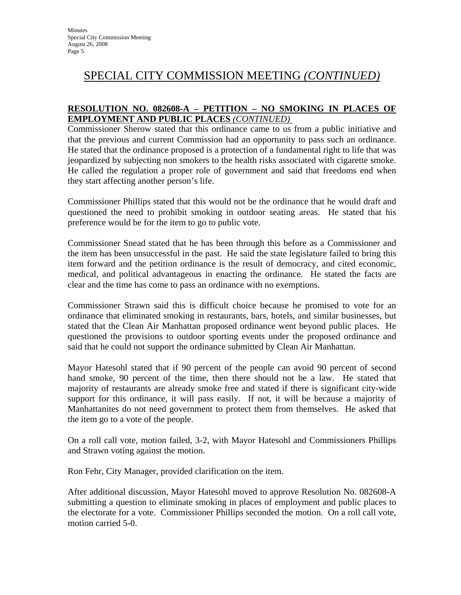#### **RESOLUTION NO. 082608-A – PETITION – NO SMOKING IN PLACES OF EMPLOYMENT AND PUBLIC PLACES** *(CONTINUED)*

Commissioner Sherow stated that this ordinance came to us from a public initiative and that the previous and current Commission had an opportunity to pass such an ordinance. He stated that the ordinance proposed is a protection of a fundamental right to life that was jeopardized by subjecting non smokers to the health risks associated with cigarette smoke. He called the regulation a proper role of government and said that freedoms end when they start affecting another person's life.

Commissioner Phillips stated that this would not be the ordinance that he would draft and questioned the need to prohibit smoking in outdoor seating areas. He stated that his preference would be for the item to go to public vote.

Commissioner Snead stated that he has been through this before as a Commissioner and the item has been unsuccessful in the past. He said the state legislature failed to bring this item forward and the petition ordinance is the result of democracy, and cited economic, medical, and political advantageous in enacting the ordinance. He stated the facts are clear and the time has come to pass an ordinance with no exemptions.

Commissioner Strawn said this is difficult choice because he promised to vote for an ordinance that eliminated smoking in restaurants, bars, hotels, and similar businesses, but stated that the Clean Air Manhattan proposed ordinance went beyond public places. He questioned the provisions to outdoor sporting events under the proposed ordinance and said that he could not support the ordinance submitted by Clean Air Manhattan.

Mayor Hatesohl stated that if 90 percent of the people can avoid 90 percent of second hand smoke, 90 percent of the time, then there should not be a law. He stated that majority of restaurants are already smoke free and stated if there is significant city-wide support for this ordinance, it will pass easily. If not, it will be because a majority of Manhattanites do not need government to protect them from themselves. He asked that the item go to a vote of the people.

On a roll call vote, motion failed, 3-2, with Mayor Hatesohl and Commissioners Phillips and Strawn voting against the motion.

Ron Fehr, City Manager, provided clarification on the item.

After additional discussion, Mayor Hatesohl moved to approve Resolution No. 082608-A submitting a question to eliminate smoking in places of employment and public places to the electorate for a vote. Commissioner Phillips seconded the motion. On a roll call vote, motion carried 5-0.